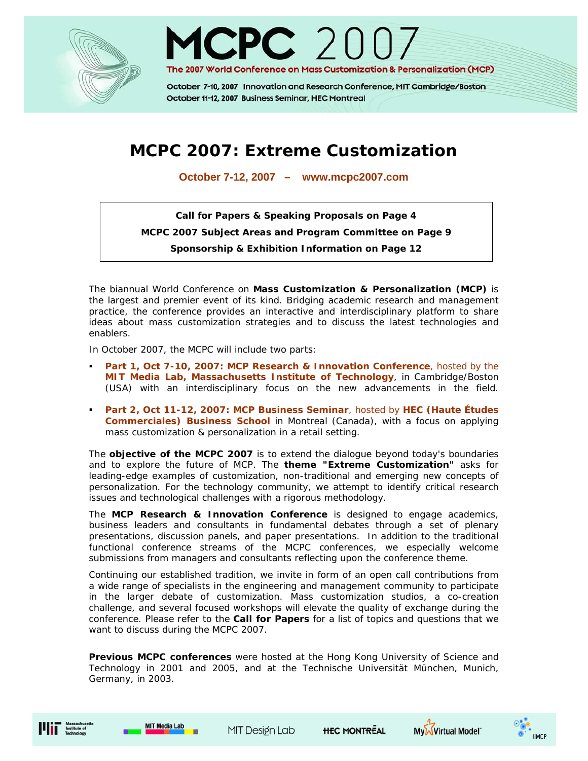



October 7-10, 2007 Innovation and Research Conference, MIT Cambridge/Boston October 11-12, 2007 Business Seminar, HEC Montreal

# **MCPC 2007: Extreme Customization**

**October 7-12, 2007 – www.mcpc2007.com**

**Call for Papers & Speaking Proposals on Page 4 MCPC 2007 Subject Areas and Program Committee on Page 9 Sponsorship & Exhibition Information on Page 12** 

The biannual World Conference on **Mass Customization & Personalization (MCP)** is the largest and premier event of its kind. Bridging academic research and management practice, the conference provides an interactive and interdisciplinary platform to share ideas about mass customization strategies and to discuss the latest technologies and enablers.

In October 2007, the MCPC will include two parts:

- **Part 1, Oct 7-10, 2007: MCP Research & Innovation Conference**, hosted by the **MIT Media Lab, Massachusetts Institute of Technology**, in Cambridge/Boston (USA) with an interdisciplinary focus on the new advancements in the field.
- **Part 2, Oct 11-12, 2007: MCP Business Seminar**, hosted by **HEC (Haute Études Commerciales) Business School** in Montreal (Canada), with a focus on applying mass customization & personalization in a retail setting.

The **objective of the MCPC 2007** is to extend the dialogue beyond today's boundaries and to explore the future of MCP. The **theme "Extreme Customization"** asks for leading-edge examples of customization, non-traditional and emerging new concepts of personalization. For the technology community, we attempt to identify critical research issues and technological challenges with a rigorous methodology.

The **MCP Research & Innovation Conference** is designed to engage academics, business leaders and consultants in fundamental debates through a set of plenary presentations, discussion panels, and paper presentations. In addition to the traditional functional conference streams of the MCPC conferences, we especially welcome submissions from managers and consultants reflecting upon the conference theme.

Continuing our established tradition, we invite in form of an open call contributions from a wide range of specialists in the engineering and management community to participate in the larger debate of customization. Mass customization studios, a co-creation challenge, and several focused workshops will elevate the quality of exchange during the conference. Please refer to the **Call for Papers** for a list of topics and questions that we want to discuss during the MCPC 2007.

**Previous MCPC conferences** were hosted at the Hong Kong University of Science and Technology in 2001 and 2005, and at the Technische Universität München, Munich, Germany, in 2003.







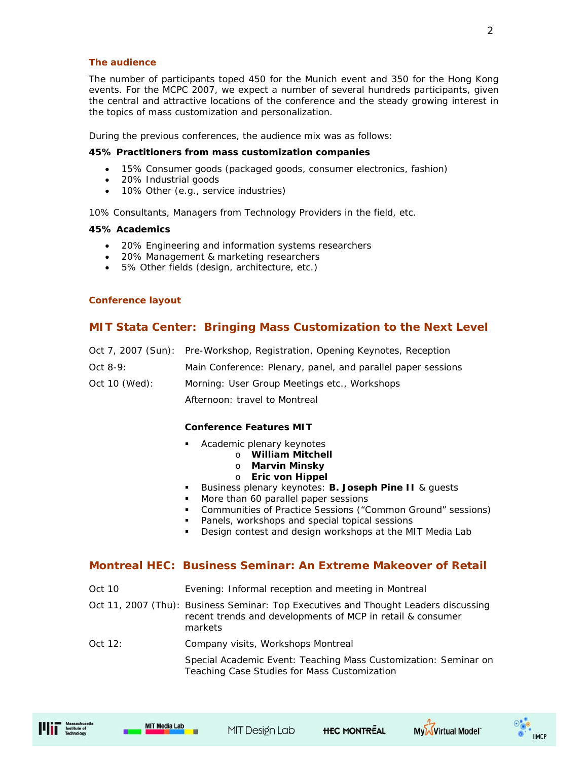#### **The audience**

The number of participants toped 450 for the Munich event and 350 for the Hong Kong events. For the MCPC 2007, we expect a number of several hundreds participants, given the central and attractive locations of the conference and the steady growing interest in the topics of mass customization and personalization.

During the previous conferences, the audience mix was as follows:

#### **45% Practitioners from mass customization companies**

- 15% Consumer goods (packaged goods, consumer electronics, fashion)
- 20% Industrial goods
- 10% Other (e.g., service industries)

10% Consultants, Managers from Technology Providers in the field, etc.

#### **45% Academics**

- 20% Engineering and information systems researchers
- 20% Management & marketing researchers
- 5% Other fields (design, architecture, etc.)

#### **Conference layout**

## **MIT Stata Center: Bringing Mass Customization to the Next Level**

|               | Oct 7, 2007 (Sun): Pre-Workshop, Registration, Opening Keynotes, Reception |
|---------------|----------------------------------------------------------------------------|
| Oct $8-9$ :   | Main Conference: Plenary, panel, and parallel paper sessions               |
| Oct 10 (Wed): | Morning: User Group Meetings etc., Workshops                               |
|               | Afternoon: travel to Montreal                                              |

#### **Conference Features MIT**

- Academic plenary keynotes
	- o **William Mitchell**
	- o **Marvin Minsky**
	- o **Eric von Hippel**
- **Business plenary keynotes: B. Joseph Pine II & guests**
- More than 60 parallel paper sessions
- Communities of Practice Sessions ("Common Ground" sessions)
- Panels, workshops and special topical sessions
- **Design contest and design workshops at the MIT Media Lab**

## **Montreal HEC: Business Seminar: An Extreme Makeover of Retail**

- Oct 10 Evening: Informal reception and meeting in Montreal
- Oct 11, 2007 (Thu): Business Seminar: Top Executives and Thought Leaders discussing recent trends and developments of MCP in retail & consumer markets
- Oct 12: Company visits, Workshops Montreal

 Special Academic Event: Teaching Mass Customization: Seminar on Teaching Case Studies for Mass Customization





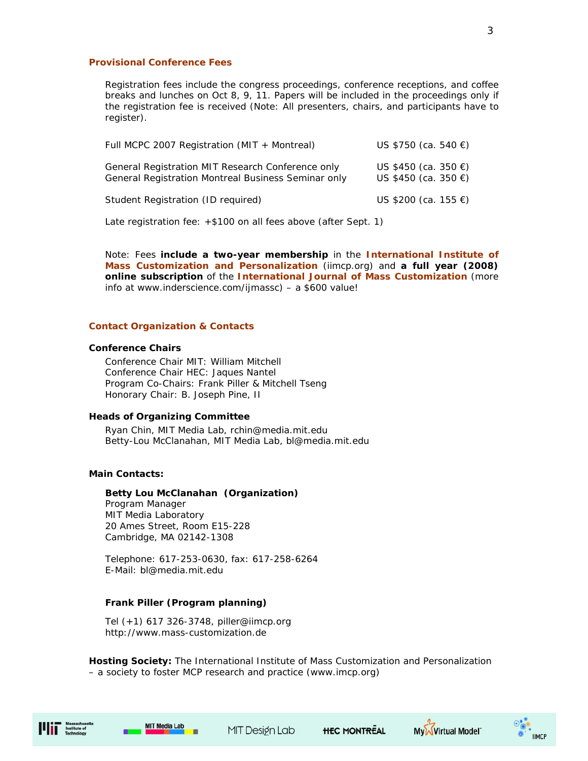#### **Provisional Conference Fees**

Registration fees include the congress proceedings, conference receptions, and coffee breaks and lunches on Oct 8, 9, 11. Papers will be included in the proceedings only if the registration fee is received *(Note: All presenters, chairs, and participants have to register)*.

| Full MCPC 2007 Registration (MIT + Montreal)                                                             | US \$750 (ca. 540 €)                         |
|----------------------------------------------------------------------------------------------------------|----------------------------------------------|
| General Registration MIT Research Conference only<br>General Registration Montreal Business Seminar only | US \$450 (ca. 350 €)<br>US \$450 (ca. 350 €) |
| Student Registration (ID required)                                                                       | US \$200 (ca. 155 €)                         |

Late registration fee: +\$100 on all fees above (after Sept. 1)

Note: Fees **include a two-year membership** in the **International Institute of Mass Customization and Personalization** (iimcp.org) and **a full year (2008) online subscription** of the **International Journal of Mass Customization** (more info at www.inderscience.com/ijmassc) – a \$600 value!

#### **Contact Organization & Contacts**

#### **Conference Chairs**

Conference Chair MIT: William Mitchell Conference Chair HEC: Jaques Nantel Program Co-Chairs: Frank Piller & Mitchell Tseng Honorary Chair: B. Joseph Pine, II

#### **Heads of Organizing Committee**

Ryan Chin, MIT Media Lab, rchin@media.mit.edu Betty-Lou McClanahan, MIT Media Lab, bl@media.mit.edu

#### **Main Contacts:**

#### **Betty Lou McClanahan (Organization)**

Program Manager MIT Media Laboratory 20 Ames Street, Room E15-228 Cambridge, MA 02142-1308

Telephone: 617-253-0630, fax: 617-258-6264 E-Mail: bl@media.mit.edu

#### **Frank Piller (Program planning)**

Tel (+1) 617 326-3748, piller@iimcp.org http://www.mass-customization.de

**Hosting Society:** The International Institute of Mass Customization and Personalization – a society to foster MCP research and practice (www.imcp.org)



MIT Design Lab



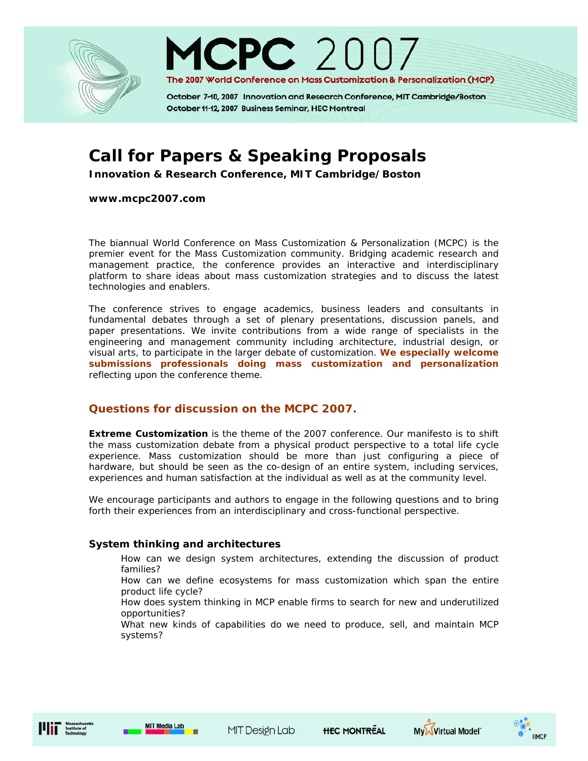



October 7-10, 2007 Innovation and Research Conference, MIT Cambridge/Boston October 11-12, 2007 Business Seminar, HEC Montreal

# **Call for Papers & Speaking Proposals**

**Innovation & Research Conference, MIT Cambridge/Boston** 

**www.mcpc2007.com** 

The biannual World Conference on Mass Customization & Personalization (MCPC) is the premier event for the Mass Customization community. Bridging academic research and management practice, the conference provides an interactive and interdisciplinary platform to share ideas about mass customization strategies and to discuss the latest technologies and enablers.

The conference strives to engage academics, business leaders and consultants in fundamental debates through a set of plenary presentations, discussion panels, and paper presentations. We invite contributions from a wide range of specialists in the engineering and management community including architecture, industrial design, or visual arts, to participate in the larger debate of customization. **We especially welcome submissions professionals** *doing* **mass customization and personalization**  reflecting upon the conference theme.

# **Questions for discussion on the MCPC 2007.**

**Extreme Customization** is the theme of the 2007 conference. Our manifesto is to shift the mass customization debate from a physical product perspective to a total life cycle experience. Mass customization should be more than just configuring a piece of hardware, but should be seen as the co-design of an entire system, including services, experiences and human satisfaction at the individual as well as at the community level.

We encourage participants and authors to engage in the following questions and to bring forth their experiences from an interdisciplinary and cross-functional perspective.

# **System thinking and architectures**

How can we design system architectures, extending the discussion of product families?

How can we define ecosystems for mass customization which span the entire product life cycle?

How does system thinking in MCP enable firms to search for new and underutilized opportunities?

What new kinds of capabilities do we need to produce, sell, and maintain MCP systems?





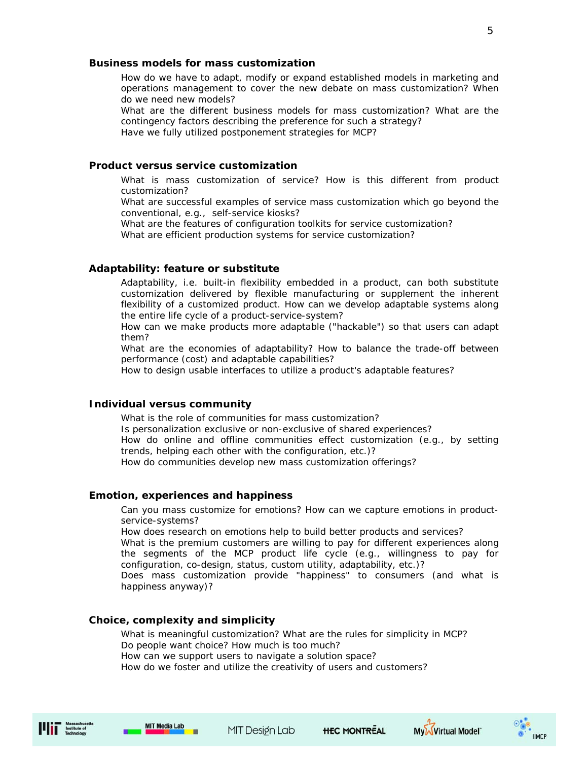#### **Business models for mass customization**

How do we have to adapt, modify or expand established models in marketing and operations management to cover the new debate on mass customization? When do we need new models?

What are the different business models for mass customization? What are the contingency factors describing the preference for such a strategy?

Have we fully utilized postponement strategies for MCP?

#### **Product versus service customization**

What is mass customization of service? How is this different from product customization?

What are successful examples of service mass customization which go beyond the conventional, e.g., self-service kiosks?

What are the features of configuration toolkits for service customization? What are efficient production systems for service customization?

#### **Adaptability: feature or substitute**

Adaptability, i.e. built-in flexibility embedded in a product, can both substitute customization delivered by flexible manufacturing or supplement the inherent flexibility of a customized product. How can we develop adaptable systems along the entire life cycle of a product-service-system?

How can we make products more adaptable ("hackable") so that users can adapt them?

What are the economies of adaptability? How to balance the trade-off between performance (cost) and adaptable capabilities?

How to design usable interfaces to utilize a product's adaptable features?

#### **Individual versus community**

What is the role of communities for mass customization? Is personalization exclusive or non-exclusive of shared experiences? How do online and offline communities effect customization (e.g., by setting trends, helping each other with the configuration, etc.)? How do communities develop new mass customization offerings?

#### **Emotion, experiences and happiness**

Can you mass customize for emotions? How can we capture emotions in productservice-systems?

How does research on emotions help to build better products and services?

What is the premium customers are willing to pay for different experiences along the segments of the MCP product life cycle (e.g., willingness to pay for configuration, co-design, status, custom utility, adaptability, etc.)?

Does mass customization provide "happiness" to consumers (and what is happiness anyway)?

#### **Choice, complexity and simplicity**

What is meaningful customization? What are the rules for simplicity in MCP? Do people want choice? How much is too much? How can we support users to navigate a solution space? How do we foster and utilize the creativity of users and customers?









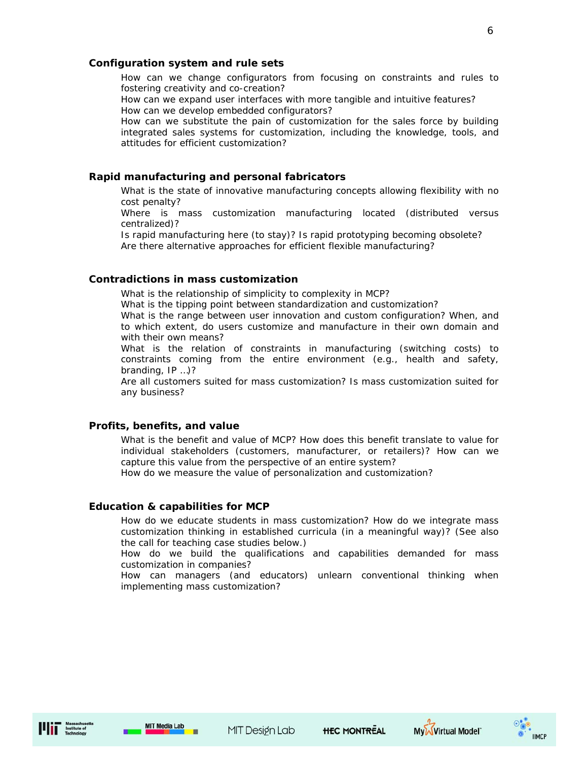#### **Configuration system and rule sets**

How can we change configurators from focusing on constraints and rules to fostering creativity and co-creation?

How can we expand user interfaces with more tangible and intuitive features? How can we develop embedded configurators?

How can we substitute the pain of customization for the sales force by building integrated sales systems for customization, including the knowledge, tools, and attitudes for efficient customization?

## **Rapid manufacturing and personal fabricators**

What is the state of innovative manufacturing concepts allowing flexibility with no cost penalty?

Where is mass customization manufacturing located (distributed versus centralized)?

Is rapid manufacturing here (to stay)? Is rapid prototyping becoming obsolete? Are there alternative approaches for efficient flexible manufacturing?

## **Contradictions in mass customization**

What is the relationship of simplicity to complexity in MCP?

What is the tipping point between standardization and customization?

What is the range between user innovation and custom configuration? When, and to which extent, do users customize and manufacture in their own domain and with their own means?

What is the relation of constraints in manufacturing (switching costs) to constraints coming from the entire environment (e.g., health and safety, branding, IP …)?

Are all customers suited for mass customization? Is mass customization suited for any business?

#### **Profits, benefits, and value**

What is the benefit and value of MCP? How does this benefit translate to value for individual stakeholders (customers, manufacturer, or retailers)? How can we capture this value from the perspective of an entire system?

How do we measure the value of personalization and customization?

#### **Education & capabilities for MCP**

How do we educate students in mass customization? How do we integrate mass customization thinking in established curricula (in a meaningful way)? (See also the call for teaching case studies below.)

How do we build the qualifications and capabilities demanded for mass customization in companies?

How can managers (and educators) unlearn conventional thinking when implementing mass customization?



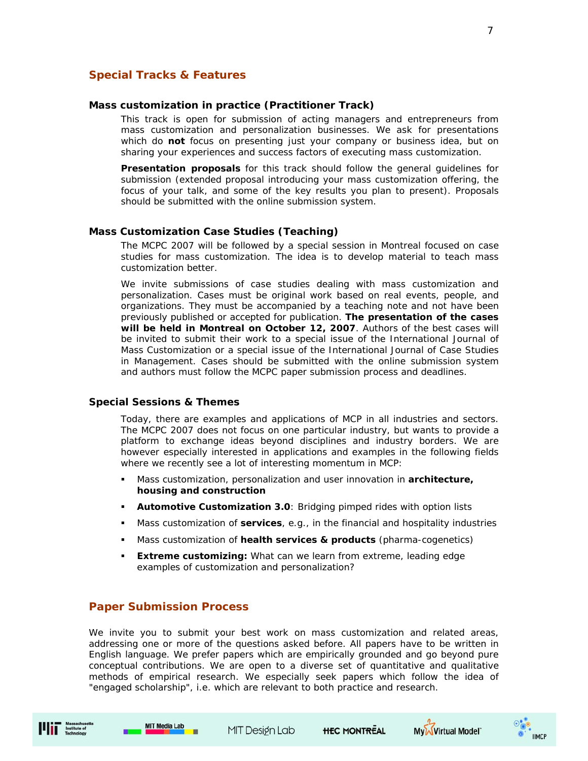## **Special Tracks & Features**

#### **Mass customization in practice (Practitioner Track)**

This track is open for submission of acting managers and entrepreneurs from mass customization and personalization businesses. We ask for presentations which do **not** focus on presenting just your company or business idea, but on sharing your experiences and success factors of executing mass customization.

**Presentation proposals** for this track should follow the general guidelines for submission (extended proposal introducing your mass customization offering, the focus of your talk, and some of the key results you plan to present). Proposals should be submitted with the online submission system.

#### **Mass Customization Case Studies (Teaching)**

The MCPC 2007 will be followed by a special session in Montreal focused on case studies for mass customization. The idea is to develop material to teach mass customization better.

We invite submissions of case studies dealing with mass customization and personalization. Cases must be original work based on real events, people, and organizations. They must be accompanied by a teaching note and not have been previously published or accepted for publication. **The presentation of the cases will be held in Montreal on October 12, 2007**. Authors of the best cases will be invited to submit their work to a special issue of the International Journal of Mass Customization or a special issue of the International Journal of Case Studies in Management. Cases should be submitted with the online submission system and authors must follow the MCPC paper submission process and deadlines.

#### **Special Sessions & Themes**

Today, there are examples and applications of MCP in all industries and sectors. The MCPC 2007 does not focus on one particular industry, but wants to provide a platform to exchange ideas beyond disciplines and industry borders. We are however especially interested in applications and examples in the following fields where we recently see a lot of interesting momentum in MCP:

- Mass customization, personalization and user innovation in **architecture, housing and construction**
- **Automotive Customization 3.0**: Bridging pimped rides with option lists
- Mass customization of **services**, e.g., in the financial and hospitality industries
- Mass customization of **health services & products** (pharma-cogenetics)
- **Extreme customizing:** What can we learn from extreme, leading edge examples of customization and personalization?

#### **Paper Submission Process**

We invite you to submit your best work on mass customization and related areas, addressing one or more of the questions asked before. All papers have to be written in English language. We prefer papers which are empirically grounded and go beyond pure conceptual contributions. We are open to a diverse set of quantitative and qualitative methods of empirical research. We especially seek papers which follow the idea of "engaged scholarship", i.e. which are relevant to both practice and research.







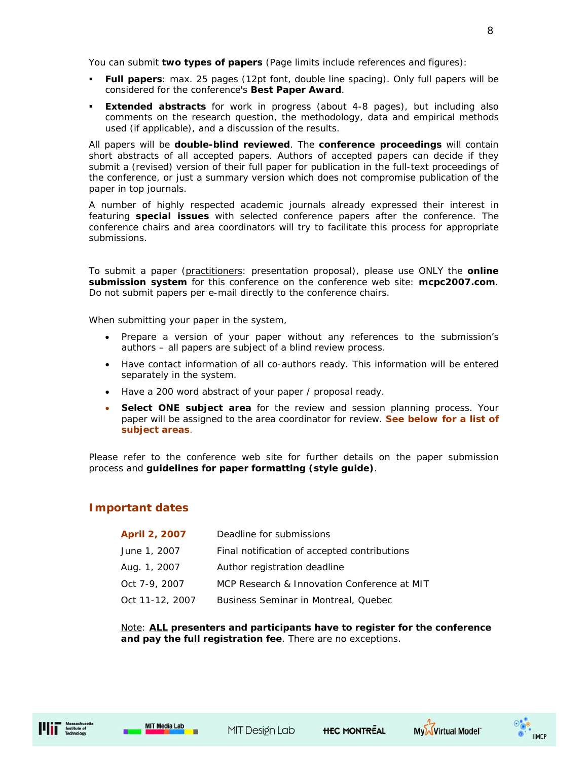You can submit **two types of papers** (Page limits include references and figures):

- **Full papers**: max. 25 pages (12pt font, double line spacing). Only full papers will be considered for the conference's **Best Paper Award**.
- **Extended abstracts** for work in progress (about 4-8 pages), but including also comments on the research question, the methodology, data and empirical methods used (if applicable), and a discussion of the results.

All papers will be **double-blind reviewed**. The **conference proceedings** will contain short abstracts of all accepted papers. Authors of accepted papers can decide if they submit a (revised) version of their full paper for publication in the full-text proceedings of the conference, or just a summary version which does not compromise publication of the paper in top journals.

A number of highly respected academic journals already expressed their interest in featuring **special issues** with selected conference papers after the conference. The conference chairs and area coordinators will try to facilitate this process for appropriate submissions.

To submit a paper (practitioners: presentation proposal), please use ONLY the **online submission system** for this conference on the conference web site: **mcpc2007.com**. Do not submit papers per e-mail directly to the conference chairs.

When submitting your paper in the system,

- Prepare a version of your paper without any references to the submission's authors – all papers are subject of a blind review process.
- Have contact information of all co-authors ready. This information will be entered separately in the system.
- Have a 200 word abstract of your paper / proposal ready.
- **Select ONE subject area** for the review and session planning process. Your paper will be assigned to the area coordinator for review. **See below for a list of subject areas**.

Please refer to the conference web site for further details on the paper submission process and **guidelines for paper formatting (style guide)**.

# **Important dates**

| April 2, 2007   | Deadline for submissions                     |
|-----------------|----------------------------------------------|
| June 1, 2007    | Final notification of accepted contributions |
| Aug. 1, 2007    | Author registration deadline                 |
| Oct 7-9, 2007   | MCP Research & Innovation Conference at MIT  |
| Oct 11-12, 2007 | Business Seminar in Montreal, Quebec         |

Note: **ALL presenters and participants have to register for the conference and pay the full registration fee**. There are no exceptions.



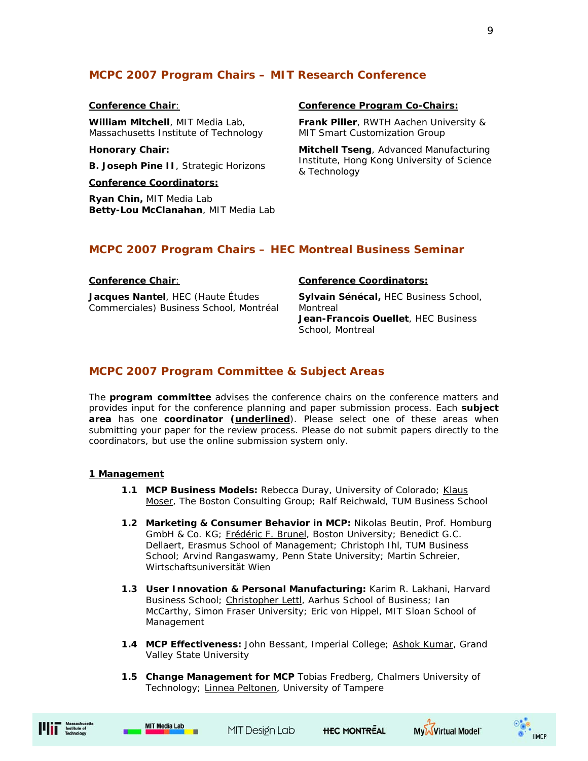# **MCPC 2007 Program Chairs – MIT Research Conference**

## **Conference Chair**:

**William Mitchell**, MIT Media Lab, Massachusetts Institute of Technology

#### **Honorary Chair:**

**B. Joseph Pine II**, Strategic Horizons

**Conference Coordinators:**

**Ryan Chin,** MIT Media Lab **Betty-Lou McClanahan**, MIT Media Lab

#### **Conference Program Co-Chairs:**

**Frank Piller**, RWTH Aachen University & MIT Smart Customization Group

**Mitchell Tseng**, Advanced Manufacturing Institute, Hong Kong University of Science & Technology

# **MCPC 2007 Program Chairs – HEC Montreal Business Seminar**

#### **Conference Chair**:

**Jacques Nantel**, HEC (Haute Études Commerciales) Business School, Montréal

#### **Conference Coordinators:**

**Sylvain Sénécal,** HEC Business School, Montreal **Jean-Francois Ouellet**, HEC Business School, Montreal

# **MCPC 2007 Program Committee & Subject Areas**

The **program committee** advises the conference chairs on the conference matters and provides input for the conference planning and paper submission process. Each **subject area** has one **coordinator (underlined**). Please select one of these areas when submitting your paper for the review process. Please do not submit papers directly to the coordinators, but use the online submission system only.

#### **1 Management**

- **1.1 MCP Business Models: Rebecca Duray, University of Colorado; Klaus** Moser, The Boston Consulting Group; Ralf Reichwald, TUM Business School
- **1.2 Marketing & Consumer Behavior in MCP:** Nikolas Beutin, Prof. Homburg GmbH & Co. KG; Frédéric F. Brunel, Boston University; Benedict G.C. Dellaert, Erasmus School of Management; Christoph Ihl, TUM Business School; Arvind Rangaswamy, Penn State University; Martin Schreier, Wirtschaftsuniversität Wien
- **1.3 User Innovation & Personal Manufacturing:** Karim R. Lakhani, Harvard Business School; Christopher Lettl, Aarhus School of Business; Ian McCarthy, Simon Fraser University; Eric von Hippel, MIT Sloan School of Management
- **1.4 MCP Effectiveness:** John Bessant, Imperial College; Ashok Kumar, Grand Valley State University
- **1.5 Change Management for MCP** Tobias Fredberg, Chalmers University of Technology; Linnea Peltonen, University of Tampere







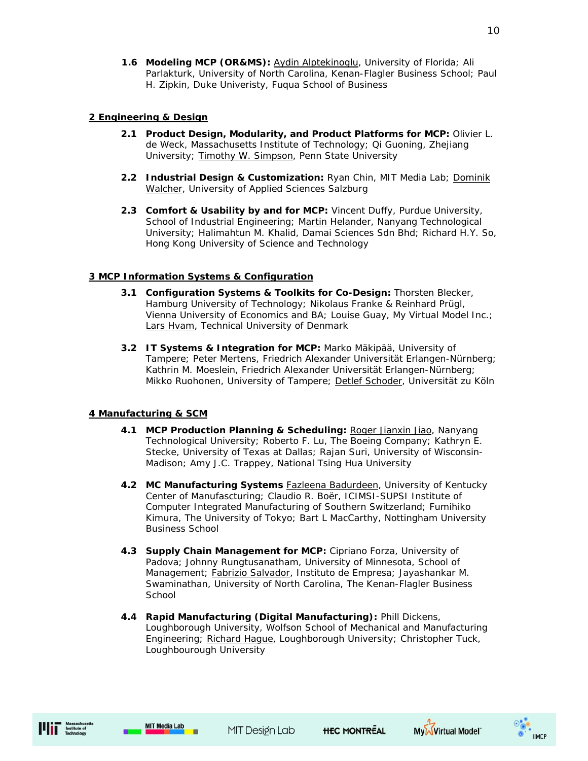**1.6 Modeling MCP (OR&MS):** Aydin Alptekinoglu, University of Florida; Ali Parlakturk, University of North Carolina, Kenan-Flagler Business School; Paul H. Zipkin, Duke Univeristy, Fuqua School of Business

# **2 Engineering & Design**

- **2.1 Product Design, Modularity, and Product Platforms for MCP:** Olivier L. de Weck, Massachusetts Institute of Technology; Qi Guoning, Zhejiang University; Timothy W. Simpson, Penn State University
- **2.2 Industrial Design & Customization:** Ryan Chin, MIT Media Lab; Dominik Walcher, University of Applied Sciences Salzburg
- **2.3 Comfort & Usability by and for MCP:** Vincent Duffy, Purdue University, School of Industrial Engineering; Martin Helander, Nanyang Technological University; Halimahtun M. Khalid, Damai Sciences Sdn Bhd; Richard H.Y. So, Hong Kong University of Science and Technology

# **3 MCP Information Systems & Configuration**

- **3.1 Configuration Systems & Toolkits for Co-Design:** Thorsten Blecker, Hamburg University of Technology; Nikolaus Franke & Reinhard Prügl, Vienna University of Economics and BA; Louise Guay, My Virtual Model Inc.; Lars Hvam, Technical University of Denmark
- **3.2 IT Systems & Integration for MCP:** Marko Mäkipää, University of Tampere; Peter Mertens, Friedrich Alexander Universität Erlangen-Nürnberg; Kathrin M. Moeslein, Friedrich Alexander Universität Erlangen-Nürnberg; Mikko Ruohonen, University of Tampere; Detlef Schoder, Universität zu Köln

## **4 Manufacturing & SCM**

- **4.1 MCP Production Planning & Scheduling:** Roger Jianxin Jiao, Nanyang Technological University; Roberto F. Lu, The Boeing Company; Kathryn E. Stecke, University of Texas at Dallas; Rajan Suri, University of Wisconsin-Madison; Amy J.C. Trappey, National Tsing Hua University
- **4.2 MC Manufacturing Systems** Fazleena Badurdeen, University of Kentucky Center of Manufascturing; Claudio R. Boër, ICIMSI-SUPSI Institute of Computer Integrated Manufacturing of Southern Switzerland; Fumihiko Kimura, The University of Tokyo; Bart L MacCarthy, Nottingham University Business School
- **4.3 Supply Chain Management for MCP:** Cipriano Forza, University of Padova; Johnny Rungtusanatham, University of Minnesota, School of Management; Fabrizio Salvador, Instituto de Empresa; Jayashankar M. Swaminathan, University of North Carolina, The Kenan-Flagler Business **School**
- **4.4 Rapid Manufacturing (Digital Manufacturing):** Phill Dickens, Loughborough University, Wolfson School of Mechanical and Manufacturing Engineering; Richard Hague, Loughborough University; Christopher Tuck, Loughbourough University



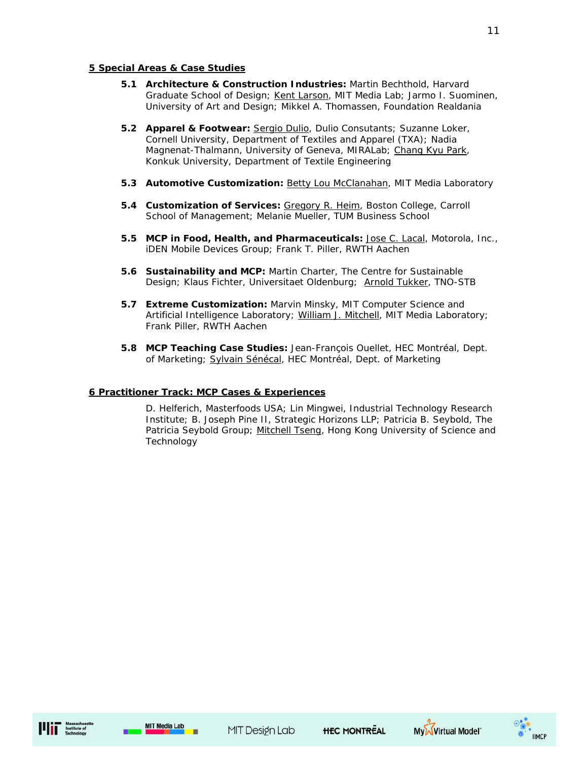## **5 Special Areas & Case Studies**

- **5.1 Architecture & Construction Industries:** Martin Bechthold, Harvard Graduate School of Design; Kent Larson, MIT Media Lab; Jarmo I. Suominen, University of Art and Design; Mikkel A. Thomassen, Foundation Realdania
- **5.2 Apparel & Footwear:** Sergio Dulio, Dulio Consutants; Suzanne Loker, Cornell University, Department of Textiles and Apparel (TXA); Nadia Magnenat-Thalmann, University of Geneva, MIRALab; Chang Kyu Park, Konkuk University, Department of Textile Engineering
- **5.3 Automotive Customization:** Betty Lou McClanahan, MIT Media Laboratory
- **5.4 Customization of Services:** Gregory R. Heim, Boston College, Carroll School of Management; Melanie Mueller, TUM Business School
- **5.5 MCP in Food, Health, and Pharmaceuticals:** Jose C. Lacal, Motorola, Inc., iDEN Mobile Devices Group; Frank T. Piller, RWTH Aachen
- **5.6 Sustainability and MCP:** Martin Charter, The Centre for Sustainable Design; Klaus Fichter, Universitaet Oldenburg; Arnold Tukker, TNO-STB
- **5.7 Extreme Customization:** Marvin Minsky, MIT Computer Science and Artificial Intelligence Laboratory; William J. Mitchell, MIT Media Laboratory; Frank Piller, RWTH Aachen
- **5.8 MCP Teaching Case Studies:** Jean-François Ouellet, HEC Montréal, Dept. of Marketing; Sylvain Sénécal, HEC Montréal, Dept. of Marketing

#### **6 Practitioner Track: MCP Cases & Experiences**

D. Helferich, Masterfoods USA; Lin Mingwei, Industrial Technology Research Institute; B. Joseph Pine II, Strategic Horizons LLP; Patricia B. Seybold, The Patricia Seybold Group; Mitchell Tseng, Hong Kong University of Science and **Technology** 

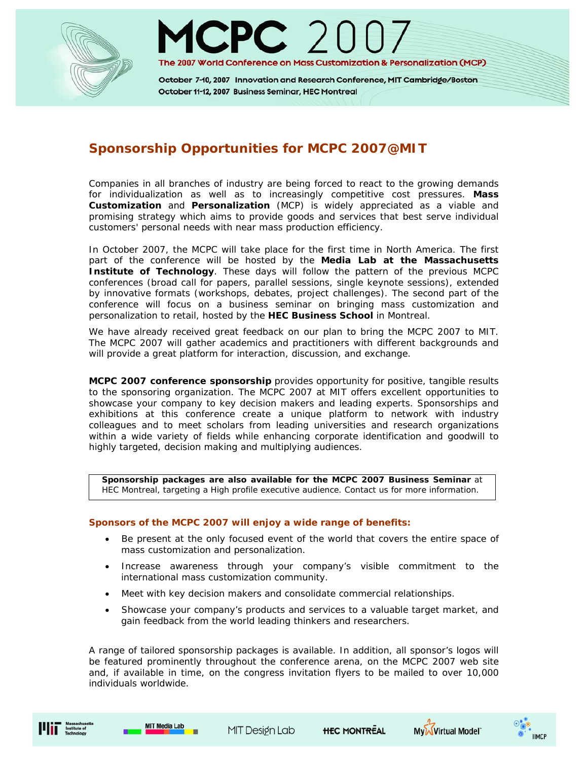



October 7-10, 2007 Innovation and Research Conference, MIT Cambridge/Boston October 11-12, 2007 Business Seminar, HEC Montreal

# **Sponsorship Opportunities for MCPC 2007@MIT**

Companies in all branches of industry are being forced to react to the growing demands for individualization as well as to increasingly competitive cost pressures. **Mass Customization** and **Personalization** (MCP) is widely appreciated as a viable and promising strategy which aims to provide goods and services that best serve individual customers' personal needs with near mass production efficiency.

In October 2007, the MCPC will take place for the first time in North America. The first part of the conference will be hosted by the **Media Lab at the Massachusetts Institute of Technology**. These days will follow the pattern of the previous MCPC conferences (broad call for papers, parallel sessions, single keynote sessions), extended by innovative formats (workshops, debates, project challenges). The second part of the conference will focus on a business seminar on bringing mass customization and personalization to retail, hosted by the **HEC Business School** in Montreal.

We have already received great feedback on our plan to bring the MCPC 2007 to MIT. The MCPC 2007 will gather academics and practitioners with different backgrounds and will provide a great platform for interaction, discussion, and exchange.

**MCPC 2007 conference sponsorship** provides opportunity for positive, tangible results to the sponsoring organization. The MCPC 2007 at MIT offers excellent opportunities to showcase your company to key decision makers and leading experts. Sponsorships and exhibitions at this conference create a unique platform to network with industry colleagues and to meet scholars from leading universities and research organizations within a wide variety of fields while enhancing corporate identification and goodwill to highly targeted, decision making and multiplying audiences.

**Sponsorship packages are also available for the MCPC 2007 Business Seminar** at HEC Montreal, targeting a High profile executive audience. Contact us for more information.

#### **Sponsors of the MCPC 2007 will enjoy a wide range of benefits:**

- Be present at the only focused event of the world that covers the entire space of mass customization and personalization.
- Increase awareness through your company's visible commitment to the international mass customization community.
- Meet with key decision makers and consolidate commercial relationships.
- Showcase your company's products and services to a valuable target market, and gain feedback from the world leading thinkers and researchers.

A range of tailored sponsorship packages is available. In addition, all sponsor's logos will be featured prominently throughout the conference arena, on the MCPC 2007 web site and, if available in time, on the congress invitation flyers to be mailed to over 10,000 individuals worldwide.